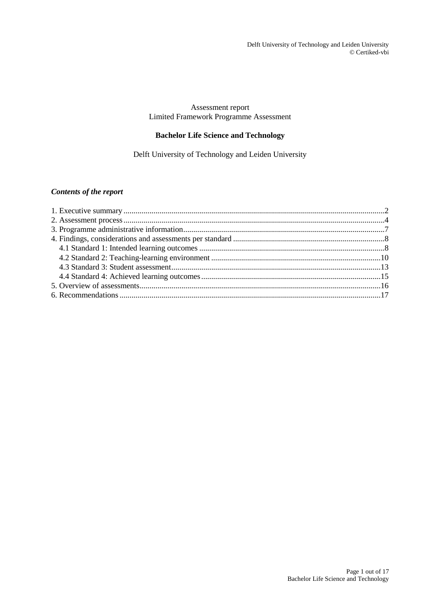### Assessment report Limited Framework Programme Assessment

## **Bachelor Life Science and Technology**

Delft University of Technology and Leiden University

## *Contents of the report*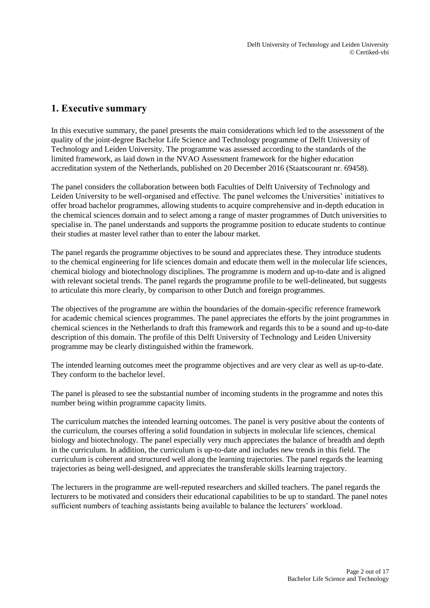## <span id="page-1-0"></span>**1. Executive summary**

In this executive summary, the panel presents the main considerations which led to the assessment of the quality of the joint-degree Bachelor Life Science and Technology programme of Delft University of Technology and Leiden University. The programme was assessed according to the standards of the limited framework, as laid down in the NVAO Assessment framework for the higher education accreditation system of the Netherlands, published on 20 December 2016 (Staatscourant nr. 69458).

The panel considers the collaboration between both Faculties of Delft University of Technology and Leiden University to be well-organised and effective. The panel welcomes the Universities' initiatives to offer broad bachelor programmes, allowing students to acquire comprehensive and in-depth education in the chemical sciences domain and to select among a range of master programmes of Dutch universities to specialise in. The panel understands and supports the programme position to educate students to continue their studies at master level rather than to enter the labour market.

The panel regards the programme objectives to be sound and appreciates these. They introduce students to the chemical engineering for life sciences domain and educate them well in the molecular life sciences, chemical biology and biotechnology disciplines. The programme is modern and up-to-date and is aligned with relevant societal trends. The panel regards the programme profile to be well-delineated, but suggests to articulate this more clearly, by comparison to other Dutch and foreign programmes.

The objectives of the programme are within the boundaries of the domain-specific reference framework for academic chemical sciences programmes. The panel appreciates the efforts by the joint programmes in chemical sciences in the Netherlands to draft this framework and regards this to be a sound and up-to-date description of this domain. The profile of this Delft University of Technology and Leiden University programme may be clearly distinguished within the framework.

The intended learning outcomes meet the programme objectives and are very clear as well as up-to-date. They conform to the bachelor level.

The panel is pleased to see the substantial number of incoming students in the programme and notes this number being within programme capacity limits.

The curriculum matches the intended learning outcomes. The panel is very positive about the contents of the curriculum, the courses offering a solid foundation in subjects in molecular life sciences, chemical biology and biotechnology. The panel especially very much appreciates the balance of breadth and depth in the curriculum. In addition, the curriculum is up-to-date and includes new trends in this field. The curriculum is coherent and structured well along the learning trajectories. The panel regards the learning trajectories as being well-designed, and appreciates the transferable skills learning trajectory.

The lecturers in the programme are well-reputed researchers and skilled teachers. The panel regards the lecturers to be motivated and considers their educational capabilities to be up to standard. The panel notes sufficient numbers of teaching assistants being available to balance the lecturers' workload.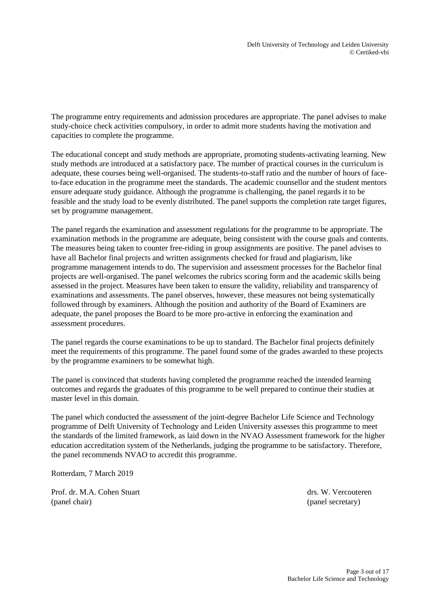The programme entry requirements and admission procedures are appropriate. The panel advises to make study-choice check activities compulsory, in order to admit more students having the motivation and capacities to complete the programme.

The educational concept and study methods are appropriate, promoting students-activating learning. New study methods are introduced at a satisfactory pace. The number of practical courses in the curriculum is adequate, these courses being well-organised. The students-to-staff ratio and the number of hours of faceto-face education in the programme meet the standards. The academic counsellor and the student mentors ensure adequate study guidance. Although the programme is challenging, the panel regards it to be feasible and the study load to be evenly distributed. The panel supports the completion rate target figures, set by programme management.

The panel regards the examination and assessment regulations for the programme to be appropriate. The examination methods in the programme are adequate, being consistent with the course goals and contents. The measures being taken to counter free-riding in group assignments are positive. The panel advises to have all Bachelor final projects and written assignments checked for fraud and plagiarism, like programme management intends to do. The supervision and assessment processes for the Bachelor final projects are well-organised. The panel welcomes the rubrics scoring form and the academic skills being assessed in the project. Measures have been taken to ensure the validity, reliability and transparency of examinations and assessments. The panel observes, however, these measures not being systematically followed through by examiners. Although the position and authority of the Board of Examiners are adequate, the panel proposes the Board to be more pro-active in enforcing the examination and assessment procedures.

The panel regards the course examinations to be up to standard. The Bachelor final projects definitely meet the requirements of this programme. The panel found some of the grades awarded to these projects by the programme examiners to be somewhat high.

The panel is convinced that students having completed the programme reached the intended learning outcomes and regards the graduates of this programme to be well prepared to continue their studies at master level in this domain.

The panel which conducted the assessment of the joint-degree Bachelor Life Science and Technology programme of Delft University of Technology and Leiden University assesses this programme to meet the standards of the limited framework, as laid down in the NVAO Assessment framework for the higher education accreditation system of the Netherlands, judging the programme to be satisfactory. Therefore, the panel recommends NVAO to accredit this programme.

Rotterdam, 7 March 2019

Prof. dr. M.A. Cohen Stuart drs. W. Vercouteren (panel chair) (panel secretary)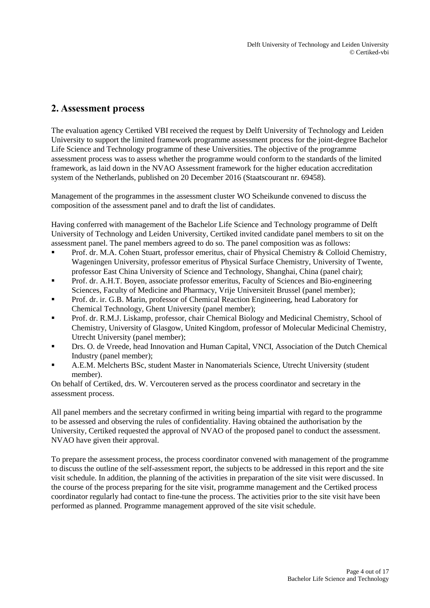## <span id="page-3-0"></span>**2. Assessment process**

The evaluation agency Certiked VBI received the request by Delft University of Technology and Leiden University to support the limited framework programme assessment process for the joint-degree Bachelor Life Science and Technology programme of these Universities. The objective of the programme assessment process was to assess whether the programme would conform to the standards of the limited framework, as laid down in the NVAO Assessment framework for the higher education accreditation system of the Netherlands, published on 20 December 2016 (Staatscourant nr. 69458).

Management of the programmes in the assessment cluster WO Scheikunde convened to discuss the composition of the assessment panel and to draft the list of candidates.

Having conferred with management of the Bachelor Life Science and Technology programme of Delft University of Technology and Leiden University, Certiked invited candidate panel members to sit on the assessment panel. The panel members agreed to do so. The panel composition was as follows:

- Prof. dr. M.A. Cohen Stuart, professor emeritus, chair of Physical Chemistry & Colloid Chemistry, Wageningen University, professor emeritus of Physical Surface Chemistry, University of Twente, professor East China University of Science and Technology, Shanghai, China (panel chair);
- Prof. dr. A.H.T. Boyen, associate professor emeritus, Faculty of Sciences and Bio-engineering Sciences, Faculty of Medicine and Pharmacy, Vrije Universiteit Brussel (panel member);
- Prof. dr. ir. G.B. Marin, professor of Chemical Reaction Engineering, head Laboratory for Chemical Technology, Ghent University (panel member);
- Prof. dr. R.M.J. Liskamp, professor, chair Chemical Biology and Medicinal Chemistry, School of Chemistry, University of Glasgow, United Kingdom, professor of Molecular Medicinal Chemistry, Utrecht University (panel member);
- **Drs. O. de Vreede, head Innovation and Human Capital, VNCI, Association of the Dutch Chemical** Industry (panel member);
- A.E.M. Melcherts BSc, student Master in Nanomaterials Science, Utrecht University (student member).

On behalf of Certiked, drs. W. Vercouteren served as the process coordinator and secretary in the assessment process.

All panel members and the secretary confirmed in writing being impartial with regard to the programme to be assessed and observing the rules of confidentiality. Having obtained the authorisation by the University, Certiked requested the approval of NVAO of the proposed panel to conduct the assessment. NVAO have given their approval.

To prepare the assessment process, the process coordinator convened with management of the programme to discuss the outline of the self-assessment report, the subjects to be addressed in this report and the site visit schedule. In addition, the planning of the activities in preparation of the site visit were discussed. In the course of the process preparing for the site visit, programme management and the Certiked process coordinator regularly had contact to fine-tune the process. The activities prior to the site visit have been performed as planned. Programme management approved of the site visit schedule.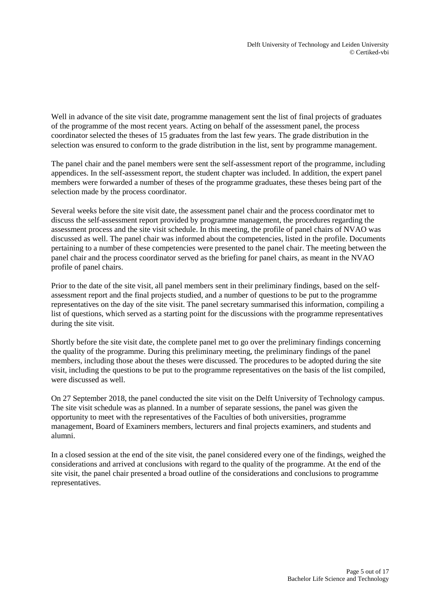Well in advance of the site visit date, programme management sent the list of final projects of graduates of the programme of the most recent years. Acting on behalf of the assessment panel, the process coordinator selected the theses of 15 graduates from the last few years. The grade distribution in the selection was ensured to conform to the grade distribution in the list, sent by programme management.

The panel chair and the panel members were sent the self-assessment report of the programme, including appendices. In the self-assessment report, the student chapter was included. In addition, the expert panel members were forwarded a number of theses of the programme graduates, these theses being part of the selection made by the process coordinator.

Several weeks before the site visit date, the assessment panel chair and the process coordinator met to discuss the self-assessment report provided by programme management, the procedures regarding the assessment process and the site visit schedule. In this meeting, the profile of panel chairs of NVAO was discussed as well. The panel chair was informed about the competencies, listed in the profile. Documents pertaining to a number of these competencies were presented to the panel chair. The meeting between the panel chair and the process coordinator served as the briefing for panel chairs, as meant in the NVAO profile of panel chairs.

Prior to the date of the site visit, all panel members sent in their preliminary findings, based on the selfassessment report and the final projects studied, and a number of questions to be put to the programme representatives on the day of the site visit. The panel secretary summarised this information, compiling a list of questions, which served as a starting point for the discussions with the programme representatives during the site visit.

Shortly before the site visit date, the complete panel met to go over the preliminary findings concerning the quality of the programme. During this preliminary meeting, the preliminary findings of the panel members, including those about the theses were discussed. The procedures to be adopted during the site visit, including the questions to be put to the programme representatives on the basis of the list compiled, were discussed as well.

On 27 September 2018, the panel conducted the site visit on the Delft University of Technology campus. The site visit schedule was as planned. In a number of separate sessions, the panel was given the opportunity to meet with the representatives of the Faculties of both universities, programme management, Board of Examiners members, lecturers and final projects examiners, and students and alumni.

In a closed session at the end of the site visit, the panel considered every one of the findings, weighed the considerations and arrived at conclusions with regard to the quality of the programme. At the end of the site visit, the panel chair presented a broad outline of the considerations and conclusions to programme representatives.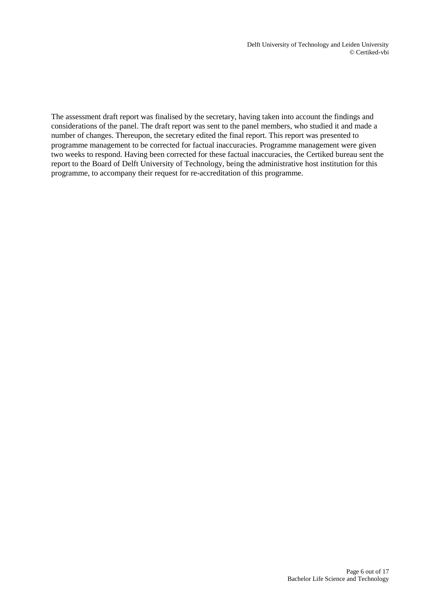The assessment draft report was finalised by the secretary, having taken into account the findings and considerations of the panel. The draft report was sent to the panel members, who studied it and made a number of changes. Thereupon, the secretary edited the final report. This report was presented to programme management to be corrected for factual inaccuracies. Programme management were given two weeks to respond. Having been corrected for these factual inaccuracies, the Certiked bureau sent the report to the Board of Delft University of Technology, being the administrative host institution for this programme, to accompany their request for re-accreditation of this programme.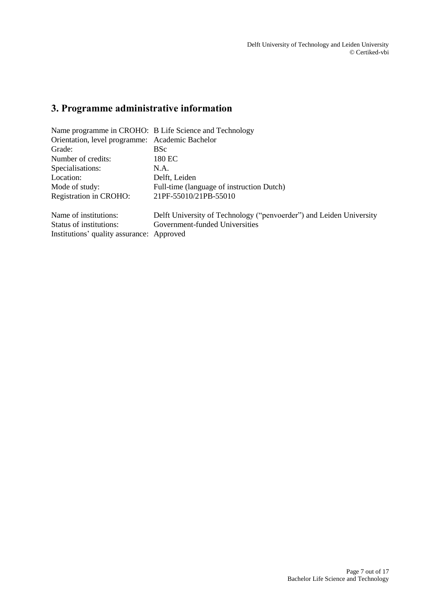# <span id="page-6-0"></span>**3. Programme administrative information**

|                                                 | Name programme in CROHO: B Life Science and Technology              |  |  |
|-------------------------------------------------|---------------------------------------------------------------------|--|--|
| Orientation, level programme: Academic Bachelor |                                                                     |  |  |
| Grade:                                          | <b>BSc</b>                                                          |  |  |
| Number of credits:                              | 180 EC                                                              |  |  |
| Specialisations:                                | N.A.                                                                |  |  |
| Location:                                       | Delft, Leiden                                                       |  |  |
| Mode of study:                                  | Full-time (language of instruction Dutch)                           |  |  |
| Registration in CROHO:                          | 21PF-55010/21PB-55010                                               |  |  |
| Name of institutions:                           | Delft University of Technology ("penvoerder") and Leiden University |  |  |
| Status of institutions:                         | Government-funded Universities                                      |  |  |
| Institutions' quality assurance: Approved       |                                                                     |  |  |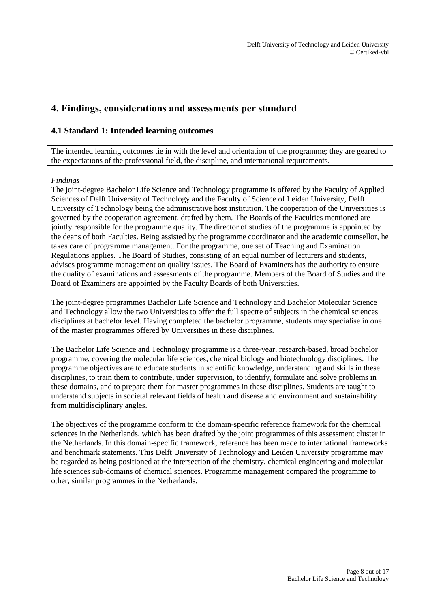## <span id="page-7-0"></span>**4. Findings, considerations and assessments per standard**

### <span id="page-7-1"></span>**4.1 Standard 1: Intended learning outcomes**

The intended learning outcomes tie in with the level and orientation of the programme; they are geared to the expectations of the professional field, the discipline, and international requirements.

#### *Findings*

The joint-degree Bachelor Life Science and Technology programme is offered by the Faculty of Applied Sciences of Delft University of Technology and the Faculty of Science of Leiden University, Delft University of Technology being the administrative host institution. The cooperation of the Universities is governed by the cooperation agreement, drafted by them. The Boards of the Faculties mentioned are jointly responsible for the programme quality. The director of studies of the programme is appointed by the deans of both Faculties. Being assisted by the programme coordinator and the academic counsellor, he takes care of programme management. For the programme, one set of Teaching and Examination Regulations applies. The Board of Studies, consisting of an equal number of lecturers and students, advises programme management on quality issues. The Board of Examiners has the authority to ensure the quality of examinations and assessments of the programme. Members of the Board of Studies and the Board of Examiners are appointed by the Faculty Boards of both Universities.

The joint-degree programmes Bachelor Life Science and Technology and Bachelor Molecular Science and Technology allow the two Universities to offer the full spectre of subjects in the chemical sciences disciplines at bachelor level. Having completed the bachelor programme, students may specialise in one of the master programmes offered by Universities in these disciplines.

The Bachelor Life Science and Technology programme is a three-year, research-based, broad bachelor programme, covering the molecular life sciences, chemical biology and biotechnology disciplines. The programme objectives are to educate students in scientific knowledge, understanding and skills in these disciplines, to train them to contribute, under supervision, to identify, formulate and solve problems in these domains, and to prepare them for master programmes in these disciplines. Students are taught to understand subjects in societal relevant fields of health and disease and environment and sustainability from multidisciplinary angles.

The objectives of the programme conform to the domain-specific reference framework for the chemical sciences in the Netherlands, which has been drafted by the joint programmes of this assessment cluster in the Netherlands. In this domain-specific framework, reference has been made to international frameworks and benchmark statements. This Delft University of Technology and Leiden University programme may be regarded as being positioned at the intersection of the chemistry, chemical engineering and molecular life sciences sub-domains of chemical sciences. Programme management compared the programme to other, similar programmes in the Netherlands.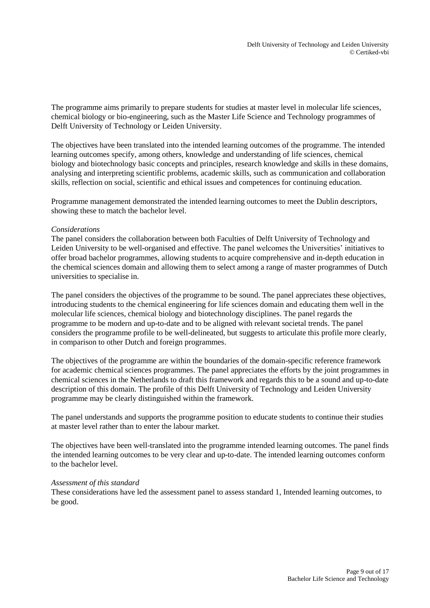The programme aims primarily to prepare students for studies at master level in molecular life sciences, chemical biology or bio-engineering, such as the Master Life Science and Technology programmes of Delft University of Technology or Leiden University.

The objectives have been translated into the intended learning outcomes of the programme. The intended learning outcomes specify, among others, knowledge and understanding of life sciences, chemical biology and biotechnology basic concepts and principles, research knowledge and skills in these domains, analysing and interpreting scientific problems, academic skills, such as communication and collaboration skills, reflection on social, scientific and ethical issues and competences for continuing education.

Programme management demonstrated the intended learning outcomes to meet the Dublin descriptors, showing these to match the bachelor level.

#### *Considerations*

The panel considers the collaboration between both Faculties of Delft University of Technology and Leiden University to be well-organised and effective. The panel welcomes the Universities' initiatives to offer broad bachelor programmes, allowing students to acquire comprehensive and in-depth education in the chemical sciences domain and allowing them to select among a range of master programmes of Dutch universities to specialise in.

The panel considers the objectives of the programme to be sound. The panel appreciates these objectives, introducing students to the chemical engineering for life sciences domain and educating them well in the molecular life sciences, chemical biology and biotechnology disciplines. The panel regards the programme to be modern and up-to-date and to be aligned with relevant societal trends. The panel considers the programme profile to be well-delineated, but suggests to articulate this profile more clearly, in comparison to other Dutch and foreign programmes.

The objectives of the programme are within the boundaries of the domain-specific reference framework for academic chemical sciences programmes. The panel appreciates the efforts by the joint programmes in chemical sciences in the Netherlands to draft this framework and regards this to be a sound and up-to-date description of this domain. The profile of this Delft University of Technology and Leiden University programme may be clearly distinguished within the framework.

The panel understands and supports the programme position to educate students to continue their studies at master level rather than to enter the labour market.

The objectives have been well-translated into the programme intended learning outcomes. The panel finds the intended learning outcomes to be very clear and up-to-date. The intended learning outcomes conform to the bachelor level.

#### *Assessment of this standard*

These considerations have led the assessment panel to assess standard 1, Intended learning outcomes, to be good.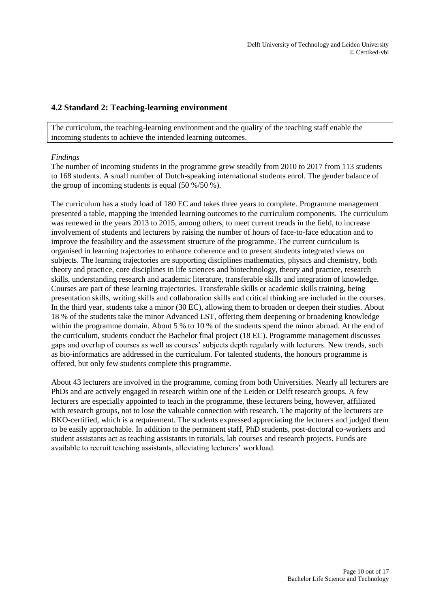### <span id="page-9-0"></span>**4.2 Standard 2: Teaching-learning environment**

The curriculum, the teaching-learning environment and the quality of the teaching staff enable the incoming students to achieve the intended learning outcomes.

#### *Findings*

The number of incoming students in the programme grew steadily from 2010 to 2017 from 113 students to 168 students. A small number of Dutch-speaking international students enrol. The gender balance of the group of incoming students is equal (50 %/50 %).

The curriculum has a study load of 180 EC and takes three years to complete. Programme management presented a table, mapping the intended learning outcomes to the curriculum components. The curriculum was renewed in the years 2013 to 2015, among others, to meet current trends in the field, to increase involvement of students and lecturers by raising the number of hours of face-to-face education and to improve the feasibility and the assessment structure of the programme. The current curriculum is organised in learning trajectories to enhance coherence and to present students integrated views on subjects. The learning trajectories are supporting disciplines mathematics, physics and chemistry, both theory and practice, core disciplines in life sciences and biotechnology, theory and practice, research skills, understanding research and academic literature, transferable skills and integration of knowledge. Courses are part of these learning trajectories. Transferable skills or academic skills training, being presentation skills, writing skills and collaboration skills and critical thinking are included in the courses. In the third year, students take a minor (30 EC), allowing them to broaden or deepen their studies. About 18 % of the students take the minor Advanced LST, offering them deepening or broadening knowledge within the programme domain. About 5 % to 10 % of the students spend the minor abroad. At the end of the curriculum, students conduct the Bachelor final project (18 EC). Programme management discusses gaps and overlap of courses as well as courses' subjects depth regularly with lecturers. New trends, such as bio-informatics are addressed in the curriculum. For talented students, the honours programme is offered, but only few students complete this programme.

About 43 lecturers are involved in the programme, coming from both Universities. Nearly all lecturers are PhDs and are actively engaged in research within one of the Leiden or Delft research groups. A few lecturers are especially appointed to teach in the programme, these lecturers being, however, affiliated with research groups, not to lose the valuable connection with research. The majority of the lecturers are BKO-certified, which is a requirement. The students expressed appreciating the lecturers and judged them to be easily approachable. In addition to the permanent staff, PhD students, post-doctoral co-workers and student assistants act as teaching assistants in tutorials, lab courses and research projects. Funds are available to recruit teaching assistants, alleviating lecturers' workload.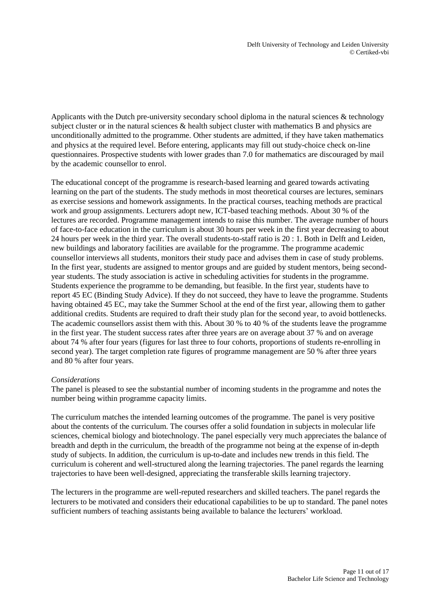Applicants with the Dutch pre-university secondary school diploma in the natural sciences & technology subject cluster or in the natural sciences & health subject cluster with mathematics B and physics are unconditionally admitted to the programme. Other students are admitted, if they have taken mathematics and physics at the required level. Before entering, applicants may fill out study-choice check on-line questionnaires. Prospective students with lower grades than 7.0 for mathematics are discouraged by mail by the academic counsellor to enrol.

The educational concept of the programme is research-based learning and geared towards activating learning on the part of the students. The study methods in most theoretical courses are lectures, seminars as exercise sessions and homework assignments. In the practical courses, teaching methods are practical work and group assignments. Lecturers adopt new, ICT-based teaching methods. About 30 % of the lectures are recorded. Programme management intends to raise this number. The average number of hours of face-to-face education in the curriculum is about 30 hours per week in the first year decreasing to about 24 hours per week in the third year. The overall students-to-staff ratio is 20 : 1. Both in Delft and Leiden, new buildings and laboratory facilities are available for the programme. The programme academic counsellor interviews all students, monitors their study pace and advises them in case of study problems. In the first year, students are assigned to mentor groups and are guided by student mentors, being secondyear students. The study association is active in scheduling activities for students in the programme. Students experience the programme to be demanding, but feasible. In the first year, students have to report 45 EC (Binding Study Advice). If they do not succeed, they have to leave the programme. Students having obtained 45 EC, may take the Summer School at the end of the first year, allowing them to gather additional credits. Students are required to draft their study plan for the second year, to avoid bottlenecks. The academic counsellors assist them with this. About 30 % to 40 % of the students leave the programme in the first year. The student success rates after three years are on average about 37 % and on average about 74 % after four years (figures for last three to four cohorts, proportions of students re-enrolling in second year). The target completion rate figures of programme management are 50 % after three years and 80 % after four years.

#### *Considerations*

The panel is pleased to see the substantial number of incoming students in the programme and notes the number being within programme capacity limits.

The curriculum matches the intended learning outcomes of the programme. The panel is very positive about the contents of the curriculum. The courses offer a solid foundation in subjects in molecular life sciences, chemical biology and biotechnology. The panel especially very much appreciates the balance of breadth and depth in the curriculum, the breadth of the programme not being at the expense of in-depth study of subjects. In addition, the curriculum is up-to-date and includes new trends in this field. The curriculum is coherent and well-structured along the learning trajectories. The panel regards the learning trajectories to have been well-designed, appreciating the transferable skills learning trajectory.

The lecturers in the programme are well-reputed researchers and skilled teachers. The panel regards the lecturers to be motivated and considers their educational capabilities to be up to standard. The panel notes sufficient numbers of teaching assistants being available to balance the lecturers' workload.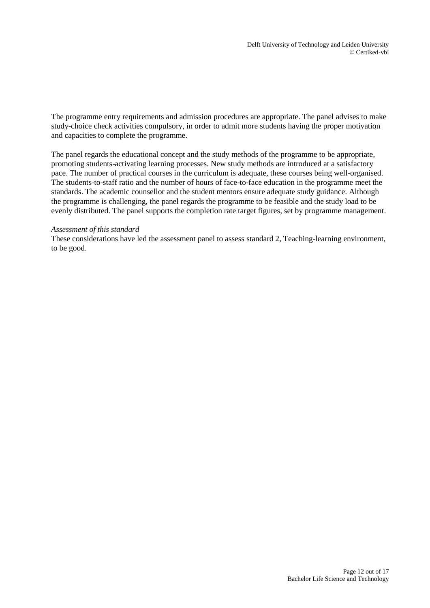The programme entry requirements and admission procedures are appropriate. The panel advises to make study-choice check activities compulsory, in order to admit more students having the proper motivation and capacities to complete the programme.

The panel regards the educational concept and the study methods of the programme to be appropriate, promoting students-activating learning processes. New study methods are introduced at a satisfactory pace. The number of practical courses in the curriculum is adequate, these courses being well-organised. The students-to-staff ratio and the number of hours of face-to-face education in the programme meet the standards. The academic counsellor and the student mentors ensure adequate study guidance. Although the programme is challenging, the panel regards the programme to be feasible and the study load to be evenly distributed. The panel supports the completion rate target figures, set by programme management.

#### *Assessment of this standard*

These considerations have led the assessment panel to assess standard 2, Teaching-learning environment, to be good.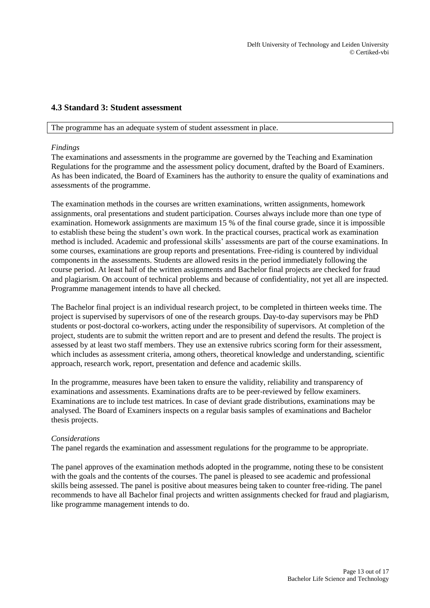### <span id="page-12-0"></span>**4.3 Standard 3: Student assessment**

#### The programme has an adequate system of student assessment in place.

#### *Findings*

The examinations and assessments in the programme are governed by the Teaching and Examination Regulations for the programme and the assessment policy document, drafted by the Board of Examiners. As has been indicated, the Board of Examiners has the authority to ensure the quality of examinations and assessments of the programme.

The examination methods in the courses are written examinations, written assignments, homework assignments, oral presentations and student participation. Courses always include more than one type of examination. Homework assignments are maximum 15 % of the final course grade, since it is impossible to establish these being the student's own work. In the practical courses, practical work as examination method is included. Academic and professional skills' assessments are part of the course examinations. In some courses, examinations are group reports and presentations. Free-riding is countered by individual components in the assessments. Students are allowed resits in the period immediately following the course period. At least half of the written assignments and Bachelor final projects are checked for fraud and plagiarism. On account of technical problems and because of confidentiality, not yet all are inspected. Programme management intends to have all checked.

The Bachelor final project is an individual research project, to be completed in thirteen weeks time. The project is supervised by supervisors of one of the research groups. Day-to-day supervisors may be PhD students or post-doctoral co-workers, acting under the responsibility of supervisors. At completion of the project, students are to submit the written report and are to present and defend the results. The project is assessed by at least two staff members. They use an extensive rubrics scoring form for their assessment, which includes as assessment criteria, among others, theoretical knowledge and understanding, scientific approach, research work, report, presentation and defence and academic skills.

In the programme, measures have been taken to ensure the validity, reliability and transparency of examinations and assessments. Examinations drafts are to be peer-reviewed by fellow examiners. Examinations are to include test matrices. In case of deviant grade distributions, examinations may be analysed. The Board of Examiners inspects on a regular basis samples of examinations and Bachelor thesis projects.

#### *Considerations*

The panel regards the examination and assessment regulations for the programme to be appropriate.

The panel approves of the examination methods adopted in the programme, noting these to be consistent with the goals and the contents of the courses. The panel is pleased to see academic and professional skills being assessed. The panel is positive about measures being taken to counter free-riding. The panel recommends to have all Bachelor final projects and written assignments checked for fraud and plagiarism, like programme management intends to do.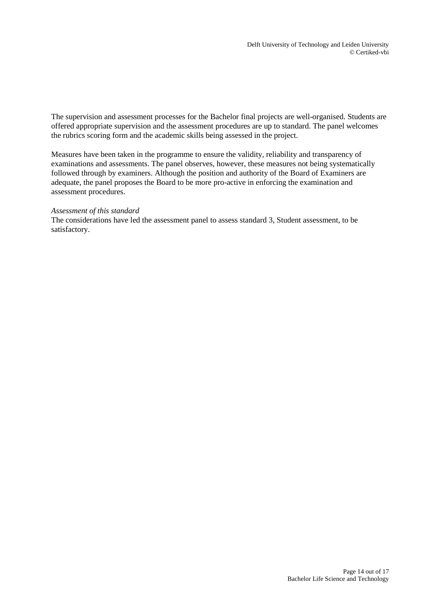The supervision and assessment processes for the Bachelor final projects are well-organised. Students are offered appropriate supervision and the assessment procedures are up to standard. The panel welcomes the rubrics scoring form and the academic skills being assessed in the project.

Measures have been taken in the programme to ensure the validity, reliability and transparency of examinations and assessments. The panel observes, however, these measures not being systematically followed through by examiners. Although the position and authority of the Board of Examiners are adequate, the panel proposes the Board to be more pro-active in enforcing the examination and assessment procedures.

#### *Assessment of this standard*

The considerations have led the assessment panel to assess standard 3, Student assessment, to be satisfactory.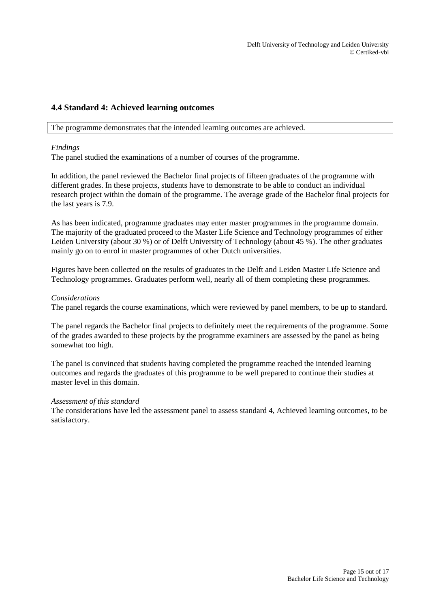### <span id="page-14-0"></span>**4.4 Standard 4: Achieved learning outcomes**

The programme demonstrates that the intended learning outcomes are achieved.

#### *Findings*

The panel studied the examinations of a number of courses of the programme.

In addition, the panel reviewed the Bachelor final projects of fifteen graduates of the programme with different grades. In these projects, students have to demonstrate to be able to conduct an individual research project within the domain of the programme. The average grade of the Bachelor final projects for the last years is 7.9.

As has been indicated, programme graduates may enter master programmes in the programme domain. The majority of the graduated proceed to the Master Life Science and Technology programmes of either Leiden University (about 30 %) or of Delft University of Technology (about 45 %). The other graduates mainly go on to enrol in master programmes of other Dutch universities.

Figures have been collected on the results of graduates in the Delft and Leiden Master Life Science and Technology programmes. Graduates perform well, nearly all of them completing these programmes.

#### *Considerations*

The panel regards the course examinations, which were reviewed by panel members, to be up to standard.

The panel regards the Bachelor final projects to definitely meet the requirements of the programme. Some of the grades awarded to these projects by the programme examiners are assessed by the panel as being somewhat too high.

The panel is convinced that students having completed the programme reached the intended learning outcomes and regards the graduates of this programme to be well prepared to continue their studies at master level in this domain.

#### *Assessment of this standard*

The considerations have led the assessment panel to assess standard 4, Achieved learning outcomes, to be satisfactory.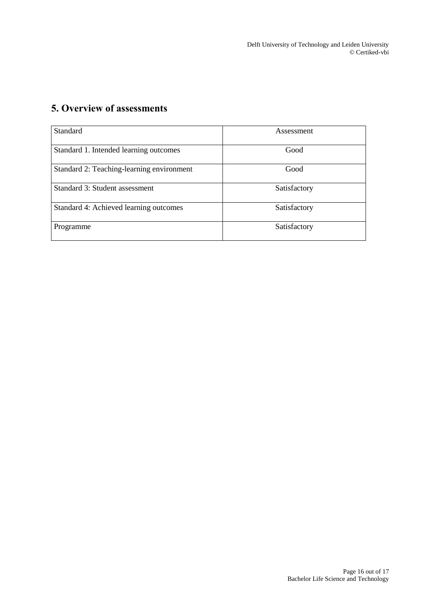Delft University of Technology and Leiden University © Certiked-vbi

## <span id="page-15-0"></span>**5. Overview of assessments**

| Standard                                  | Assessment   |
|-------------------------------------------|--------------|
| Standard 1. Intended learning outcomes    | Good         |
| Standard 2: Teaching-learning environment | Good         |
| Standard 3: Student assessment            | Satisfactory |
| Standard 4: Achieved learning outcomes    | Satisfactory |
| Programme                                 | Satisfactory |